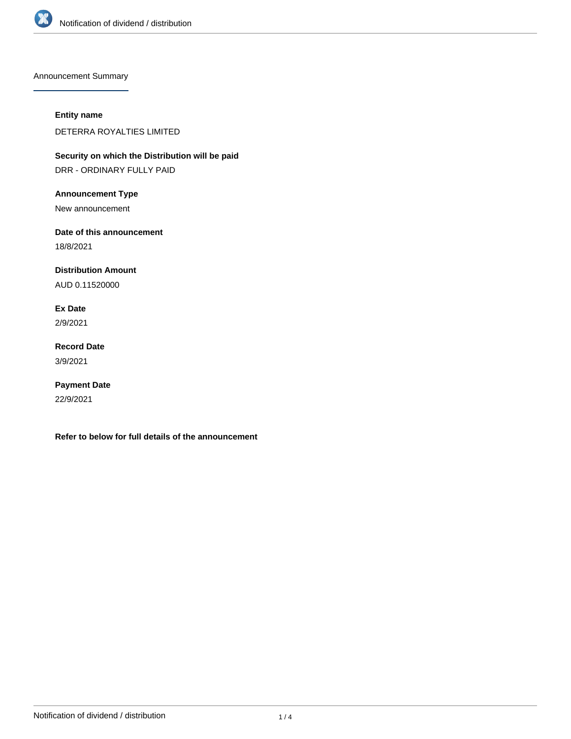

Announcement Summary

## **Entity name**

DETERRA ROYALTIES LIMITED

**Security on which the Distribution will be paid** DRR - ORDINARY FULLY PAID

**Announcement Type**

New announcement

**Date of this announcement**

18/8/2021

**Distribution Amount**

AUD 0.11520000

**Ex Date**

2/9/2021

**Record Date** 3/9/2021

**Payment Date** 22/9/2021

**Refer to below for full details of the announcement**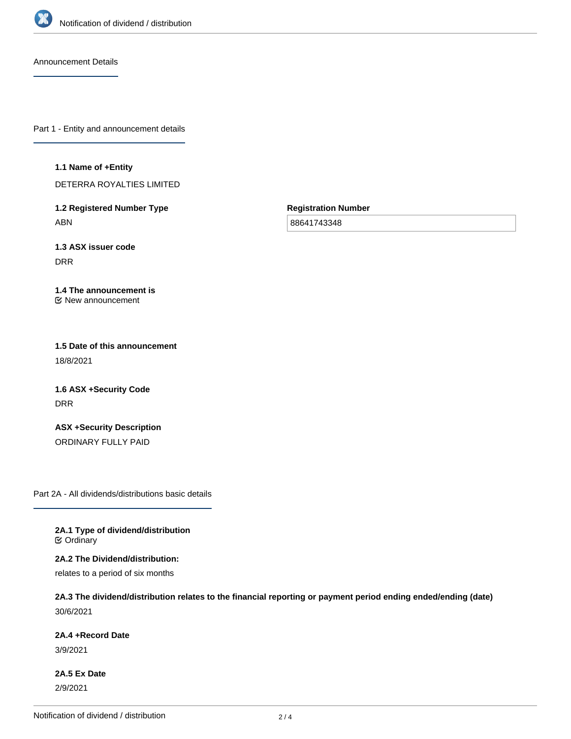

Announcement Details

Part 1 - Entity and announcement details

## **1.1 Name of +Entity**

DETERRA ROYALTIES LIMITED

**1.2 Registered Number Type** ABN

**Registration Number**

88641743348

**1.3 ASX issuer code** DRR

## **1.4 The announcement is** New announcement

**1.5 Date of this announcement** 18/8/2021

**1.6 ASX +Security Code** DRR

**ASX +Security Description** ORDINARY FULLY PAID

Part 2A - All dividends/distributions basic details

**2A.1 Type of dividend/distribution C** Ordinary

**2A.2 The Dividend/distribution:** relates to a period of six months

**2A.3 The dividend/distribution relates to the financial reporting or payment period ending ended/ending (date)** 30/6/2021

**2A.4 +Record Date**

3/9/2021

**2A.5 Ex Date** 2/9/2021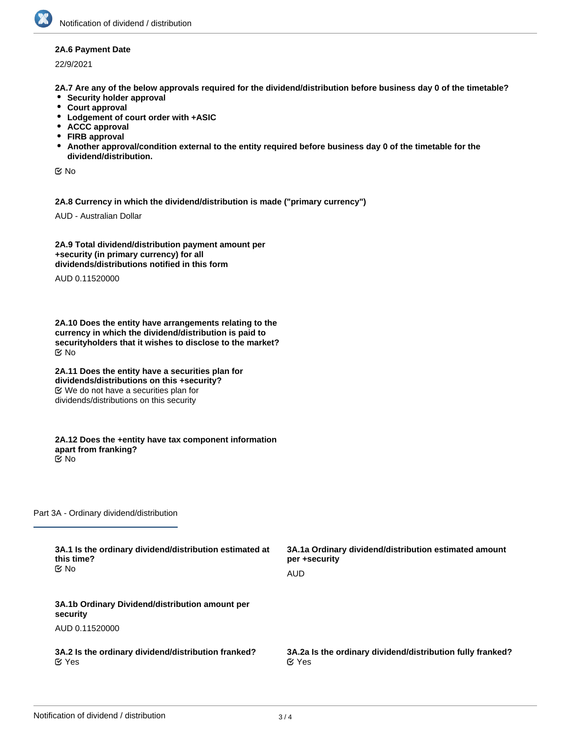## **2A.6 Payment Date**

22/9/2021

**2A.7 Are any of the below approvals required for the dividend/distribution before business day 0 of the timetable?**

- **•** Security holder approval
- **Court approval**
- **Lodgement of court order with +ASIC**
- **ACCC approval**
- **FIRB approval**
- **Another approval/condition external to the entity required before business day 0 of the timetable for the dividend/distribution.**

No

**2A.8 Currency in which the dividend/distribution is made ("primary currency")**

AUD - Australian Dollar

**2A.9 Total dividend/distribution payment amount per +security (in primary currency) for all dividends/distributions notified in this form**

AUD 0.11520000

**2A.10 Does the entity have arrangements relating to the currency in which the dividend/distribution is paid to securityholders that it wishes to disclose to the market?** No

**2A.11 Does the entity have a securities plan for dividends/distributions on this +security?** We do not have a securities plan for dividends/distributions on this security

**2A.12 Does the +entity have tax component information apart from franking?** No

Part 3A - Ordinary dividend/distribution

| 3A.1 Is the ordinary dividend/distribution estimated at     | 3A.1a Ordinary dividend/distribution estimated amount      |
|-------------------------------------------------------------|------------------------------------------------------------|
| this time?                                                  | per +security                                              |
| <b>≝</b> No                                                 | AUD                                                        |
| 3A.1b Ordinary Dividend/distribution amount per<br>security |                                                            |
| AUD 0.11520000                                              |                                                            |
| 3A.2 Is the ordinary dividend/distribution franked?         | 3A.2a Is the ordinary dividend/distribution fully franked? |
| $\alpha$ Yes                                                | $\alpha$ Yes                                               |